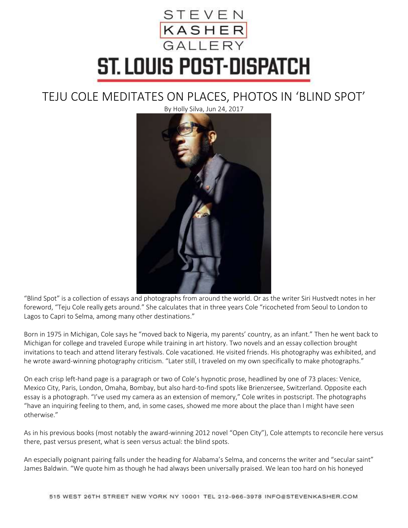## STEVEN<br><mark>KASHER</mark><br>GALLERY ST. LOUIS POST-DISPATCH

## TEJU COLE MEDITATES ON PLACES, PHOTOS IN 'BLIND SPOT'

By Holly Silva, Jun 24, 2017



"Blind Spot" is a collection of essays and photographs from around the world. Or as the writer Siri Hustvedt notes in her foreword, "Teju Cole really gets around." She calculates that in three years Cole "ricocheted from Seoul to London to Lagos to Capri to Selma, among many other destinations."

Born in 1975 in Michigan, Cole says he "moved back to Nigeria, my parents' country, as an infant." Then he went back to Michigan for college and traveled Europe while training in art history. Two novels and an essay collection brought invitations to teach and attend literary festivals. Cole vacationed. He visited friends. His photography was exhibited, and he wrote award-winning photography criticism. "Later still, I traveled on my own specifically to make photographs."

On each crisp left-hand page is a paragraph or two of Cole's hypnotic prose, headlined by one of 73 places: Venice, Mexico City, Paris, London, Omaha, Bombay, but also hard-to-find spots like Brienzersee, Switzerland. Opposite each essay is a photograph. "I've used my camera as an extension of memory," Cole writes in postscript. The photographs "have an inquiring feeling to them, and, in some cases, showed me more about the place than I might have seen otherwise."

As in his previous books (most notably the award-winning 2012 novel "Open City"), Cole attempts to reconcile here versus there, past versus present, what is seen versus actual: the blind spots.

An especially poignant pairing falls under the heading for Alabama's Selma, and concerns the writer and "secular saint" James Baldwin. "We quote him as though he had always been universally praised. We lean too hard on his honeyed